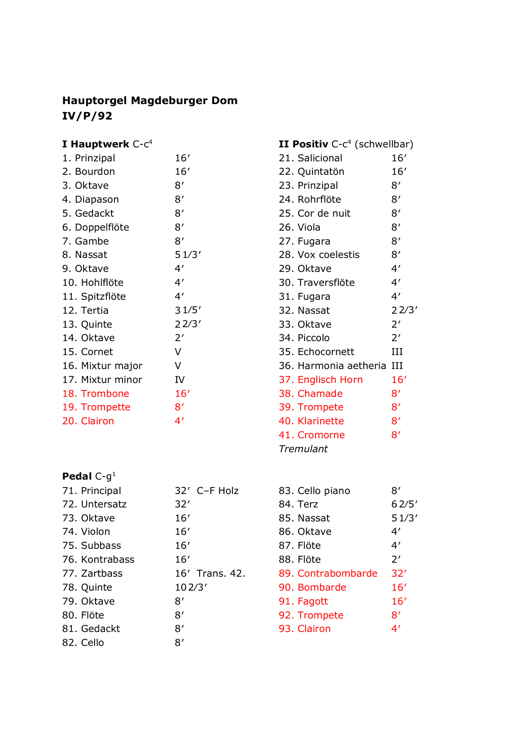## **Hauptorgel Magdeburger Dom IV/P/92**

# **I Hauptwerk** C-c<sup>4</sup>

| 16'   |
|-------|
| 16'   |
| 8'    |
| 8'    |
| 8'    |
| 8'    |
| 8'    |
| 51/3' |
| 4′    |
| 4′    |
| 4'    |
| 31/5' |
| 22/3' |
| 2'    |
| V     |
| V     |
| IV    |
| 16'   |
| 8'    |
| 4′    |
|       |

| <b>Pedal</b> $C$ - $g1$ |
|-------------------------|
|-------------------------|

| 71. Principal  | 32' C-F Holz   |
|----------------|----------------|
| 72. Untersatz  | 32'            |
| 73. Oktave     | 16'            |
| 74. Violon     | 16'            |
| 75. Subbass    | 16'            |
| 76. Kontrabass | 16'            |
| 77. Zartbass   | 16' Trans, 42. |
| 78. Quinte     | 102/3'         |
| 79. Oktave     |                |
|                | 8'             |
| 80. Flöte      | 8'             |
| 81. Gedackt    | 8′             |

| <b>II Positiv</b> $C-c^4$ (schwellbar) |              |
|----------------------------------------|--------------|
| 21. Salicional                         | 16'          |
| 22. Quintatön                          | 16'          |
| 23. Prinzipal                          | 8'           |
| 24. Rohrflöte                          | 8'           |
| 25. Cor de nuit                        | 8'           |
| 26. Viola                              | 8'           |
| 27. Fugara                             | 8'           |
| 28. Vox coelestis                      | 8'           |
| 29. Oktave                             | 4'           |
| 30. Traversflöte                       | 4'           |
| 31. Fugara                             | 4'           |
| 32. Nassat                             | 22/3'        |
| 33. Oktave                             | 2'           |
| 34. Piccolo                            | 2'           |
| 35. Echocornett                        | IΗ           |
| 36. Harmonia aetheria III              |              |
| 37. Englisch Horn                      | 16'          |
| 38. Chamade                            | 8'           |
| 39. Trompete                           | 8'           |
| 40. Klarinette                         | 8'           |
| 41. Cromorne                           | $8^{\prime}$ |
| Tremulant                              |              |

| 83. Cello piano    | 8′    |
|--------------------|-------|
| 84. Terz           | 62/5' |
| 85. Nassat         | 51/3' |
| 86. Oktave         | 4′    |
| 87. Flöte          | 4′    |
| 88. Flöte          | 2'    |
| 89. Contrabombarde | 32'   |
| 90. Bombarde       | 16'   |
| 91. Fagott         | 16'   |
| 92. Trompete       | 8′    |
| 93. Clairon        | 4′    |